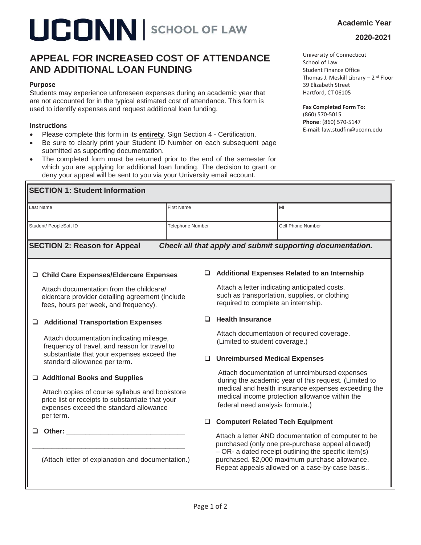# **LICONN** SCHOOL OF LAW

### **APPEAL FOR INCREASED COST OF ATTENDANCE AND ADDITIONAL LOAN FUNDING**

#### **Purpose**

Students may experience unforeseen expenses during an academic year that are not accounted for in the typical estimated cost of attendance. This form is used to identify expenses and request additional loan funding.

#### **Instructions**

- **•** Please complete this form in its **entirety**. Sign Section 4 Certification.
- Be sure to clearly print your Student ID Number on each subsequent page submitted as supporting documentation.
- The completed form must be returned prior to the end of the semester for which you are applying for additional loan funding. The decision to grant or deny your appeal will be sent to you via your University email account.

University of Connecticut School of Law Student Finance Office Thomas J. Meskill Library  $-2<sup>nd</sup>$  Floor 39 Elizabeth Street Hartford, CT 06105

#### **Fax Completed Form To:**

(860) 570-5015 **Phone**: (860) 570-5147 **E-mail**: law.studfin@uconn.edu

| Last Name                                                                                                                                                                                                                                                                           | <b>First Name</b>       |                                                                                                                                                                                                                                                                       | MI                                           |  |  |  |
|-------------------------------------------------------------------------------------------------------------------------------------------------------------------------------------------------------------------------------------------------------------------------------------|-------------------------|-----------------------------------------------------------------------------------------------------------------------------------------------------------------------------------------------------------------------------------------------------------------------|----------------------------------------------|--|--|--|
| Student/ PeopleSoft ID                                                                                                                                                                                                                                                              | <b>Telephone Number</b> |                                                                                                                                                                                                                                                                       | <b>Cell Phone Number</b>                     |  |  |  |
| <b>SECTION 2: Reason for Appeal</b><br>Check all that apply and submit supporting documentation.                                                                                                                                                                                    |                         |                                                                                                                                                                                                                                                                       |                                              |  |  |  |
| □ Child Care Expenses/Eldercare Expenses                                                                                                                                                                                                                                            |                         |                                                                                                                                                                                                                                                                       | Additional Expenses Related to an Internship |  |  |  |
| Attach documentation from the childcare/<br>eldercare provider detailing agreement (include<br>fees, hours per week, and frequency).                                                                                                                                                |                         | Attach a letter indicating anticipated costs,<br>such as transportation, supplies, or clothing<br>required to complete an internship.                                                                                                                                 |                                              |  |  |  |
| <b>Additional Transportation Expenses</b><br>$\Box$<br>Attach documentation indicating mileage,<br>frequency of travel, and reason for travel to<br>substantiate that your expenses exceed the<br>standard allowance per term.                                                      |                         | <b>Health Insurance</b>                                                                                                                                                                                                                                               |                                              |  |  |  |
|                                                                                                                                                                                                                                                                                     |                         | Attach documentation of required coverage.<br>(Limited to student coverage.)                                                                                                                                                                                          |                                              |  |  |  |
|                                                                                                                                                                                                                                                                                     |                         |                                                                                                                                                                                                                                                                       | <b>Unreimbursed Medical Expenses</b>         |  |  |  |
| □ Additional Books and Supplies<br>Attach copies of course syllabus and bookstore<br>price list or receipts to substantiate that your<br>expenses exceed the standard allowance                                                                                                     |                         | Attach documentation of unreimbursed expenses<br>during the academic year of this request. (Limited to<br>medical and health insurance expenses exceeding the<br>medical income protection allowance within the<br>federal need analysis formula.)                    |                                              |  |  |  |
| per term.                                                                                                                                                                                                                                                                           |                         | <b>Computer/ Related Tech Equipment</b>                                                                                                                                                                                                                               |                                              |  |  |  |
| Other: and the control of the control of the control of the control of the control of the control of the control of the control of the control of the control of the control of the control of the control of the control of t<br>(Attach letter of explanation and documentation.) |                         | Attach a letter AND documentation of computer to be<br>purchased (only one pre-purchase appeal allowed)<br>$-$ OR- a dated receipt outlining the specific item(s)<br>purchased. \$2,000 maximum purchase allowance.<br>Repeat appeals allowed on a case-by-case basis |                                              |  |  |  |

**2020-2021**